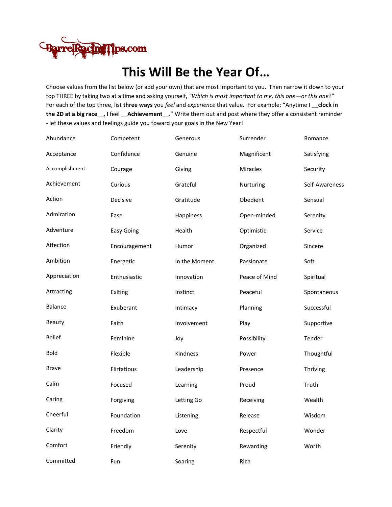

## **This Will Be the Year Of…**

Choose values from the list below (or add your own) that are most important to you. Then narrow it down to your top THREE by taking two at a time and asking yourself, *"Which is most important to me, this one—or this one*?" For each of the top three, list **three ways** you *feel* and *experience* that value. For example: "Anytime I \_\_**clock in the 2D at a big race**\_\_, I feel \_\_**Achievement**\_\_." Write them out and post where they offer a consistent reminder - let these values and feelings guide you toward your goals in the New Year!

| Abundance      | Competent         | Generous      | Surrender     | Romance        |
|----------------|-------------------|---------------|---------------|----------------|
| Acceptance     | Confidence        | Genuine       | Magnificent   | Satisfying     |
| Accomplishment | Courage           | Giving        | Miracles      | Security       |
| Achievement    | Curious           | Grateful      | Nurturing     | Self-Awareness |
| Action         | Decisive          | Gratitude     | Obedient      | Sensual        |
| Admiration     | Ease              | Happiness     | Open-minded   | Serenity       |
| Adventure      | <b>Easy Going</b> | Health        | Optimistic    | Service        |
| Affection      | Encouragement     | Humor         | Organized     | Sincere        |
| Ambition       | Energetic         | In the Moment | Passionate    | Soft           |
| Appreciation   | Enthusiastic      | Innovation    | Peace of Mind | Spiritual      |
| Attracting     | Exiting           | Instinct      | Peaceful      | Spontaneous    |
| Balance        | Exuberant         | Intimacy      | Planning      | Successful     |
| Beauty         | Faith             | Involvement   | Play          | Supportive     |
| <b>Belief</b>  | Feminine          | Joy           | Possibility   | Tender         |
| Bold           | Flexible          | Kindness      | Power         | Thoughtful     |
| <b>Brave</b>   | Flirtatious       | Leadership    | Presence      | Thriving       |
| Calm           | Focused           | Learning      | Proud         | Truth          |
| Caring         | Forgiving         | Letting Go    | Receiving     | Wealth         |
| Cheerful       | Foundation        | Listening     | Release       | Wisdom         |
| Clarity        | Freedom           | Love          | Respectful    | Wonder         |
| Comfort        | Friendly          | Serenity      | Rewarding     | Worth          |
| Committed      | Fun               | Soaring       | Rich          |                |